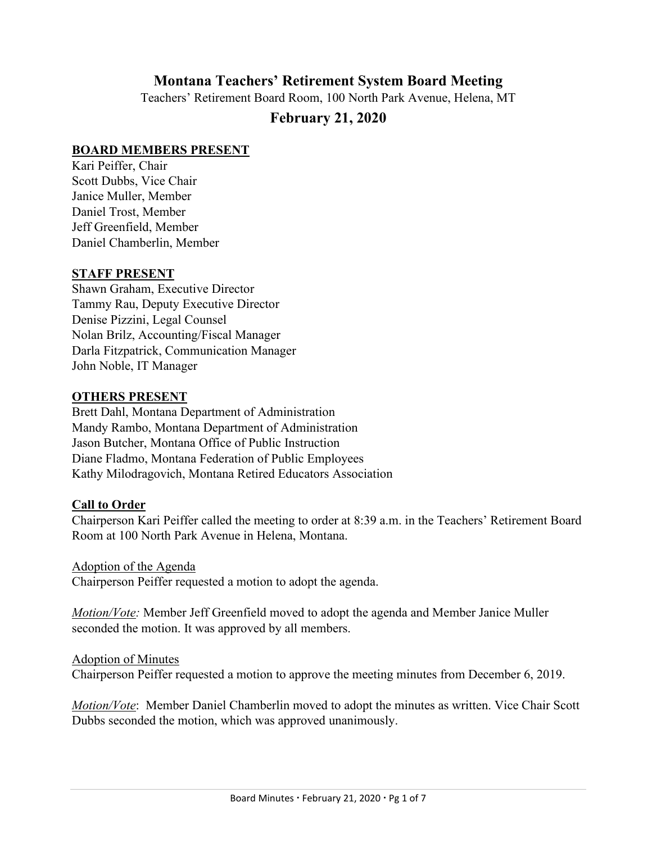# **Montana Teachers' Retirement System Board Meeting**

Teachers' Retirement Board Room, 100 North Park Avenue, Helena, MT

# **February 21, 2020**

#### **BOARD MEMBERS PRESENT**

Kari Peiffer, Chair Scott Dubbs, Vice Chair Janice Muller, Member Daniel Trost, Member Jeff Greenfield, Member Daniel Chamberlin, Member

#### **STAFF PRESENT**

Shawn Graham, Executive Director Tammy Rau, Deputy Executive Director Denise Pizzini, Legal Counsel Nolan Brilz, Accounting/Fiscal Manager Darla Fitzpatrick, Communication Manager John Noble, IT Manager

#### **OTHERS PRESENT**

Brett Dahl, Montana Department of Administration Mandy Rambo, Montana Department of Administration Jason Butcher, Montana Office of Public Instruction Diane Fladmo, Montana Federation of Public Employees Kathy Milodragovich, Montana Retired Educators Association

#### **Call to Order**

Chairperson Kari Peiffer called the meeting to order at 8:39 a.m. in the Teachers' Retirement Board Room at 100 North Park Avenue in Helena, Montana.

#### Adoption of the Agenda

Chairperson Peiffer requested a motion to adopt the agenda.

*Motion/Vote:* Member Jeff Greenfield moved to adopt the agenda and Member Janice Muller seconded the motion. It was approved by all members.

#### Adoption of Minutes

Chairperson Peiffer requested a motion to approve the meeting minutes from December 6, 2019.

*Motion/Vote*: Member Daniel Chamberlin moved to adopt the minutes as written. Vice Chair Scott Dubbs seconded the motion, which was approved unanimously.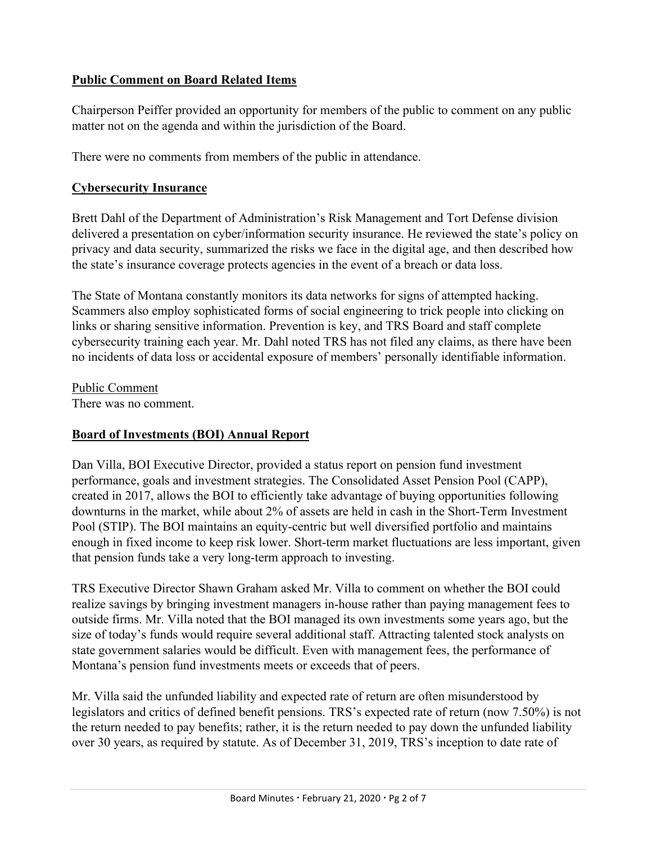# **Public Comment on Board Related Items**

Chairperson Peiffer provided an opportunity for members of the public to comment on any public matter not on the agenda and within the jurisdiction of the Board.

There were no comments from members of the public in attendance.

## **Cybersecurity Insurance**

Brett Dahl of the Department of Administration's Risk Management and Tort Defense division delivered a presentation on cyber/information security insurance. He reviewed the state's policy on privacy and data security, summarized the risks we face in the digital age, and then described how the state's insurance coverage protects agencies in the event of a breach or data loss.

The State of Montana constantly monitors its data networks for signs of attempted hacking. Scammers also employ sophisticated forms of social engineering to trick people into clicking on links or sharing sensitive information. Prevention is key, and TRS Board and staff complete cybersecurity training each year. Mr. Dahl noted TRS has not filed any claims, as there have been no incidents of data loss or accidental exposure of members' personally identifiable information.

Public Comment

There was no comment.

### **Board of Investments (BOI) Annual Report**

Dan Villa, BOI Executive Director, provided a status report on pension fund investment performance, goals and investment strategies. The Consolidated Asset Pension Pool (CAPP), created in 2017, allows the BOI to efficiently take advantage of buying opportunities following downturns in the market, while about 2% of assets are held in cash in the Short-Term Investment Pool (STIP). The BOI maintains an equity-centric but well diversified portfolio and maintains enough in fixed income to keep risk lower. Short-term market fluctuations are less important, given that pension funds take a very long-term approach to investing.

TRS Executive Director Shawn Graham asked Mr. Villa to comment on whether the BOI could realize savings by bringing investment managers in-house rather than paying management fees to outside firms. Mr. Villa noted that the BOI managed its own investments some years ago, but the size of today's funds would require several additional staff. Attracting talented stock analysts on state government salaries would be difficult. Even with management fees, the performance of Montana's pension fund investments meets or exceeds that of peers.

Mr. Villa said the unfunded liability and expected rate of return are often misunderstood by legislators and critics of defined benefit pensions. TRS's expected rate of return (now 7.50%) is not the return needed to pay benefits; rather, it is the return needed to pay down the unfunded liability over 30 years, as required by statute. As of December 31, 2019, TRS's inception to date rate of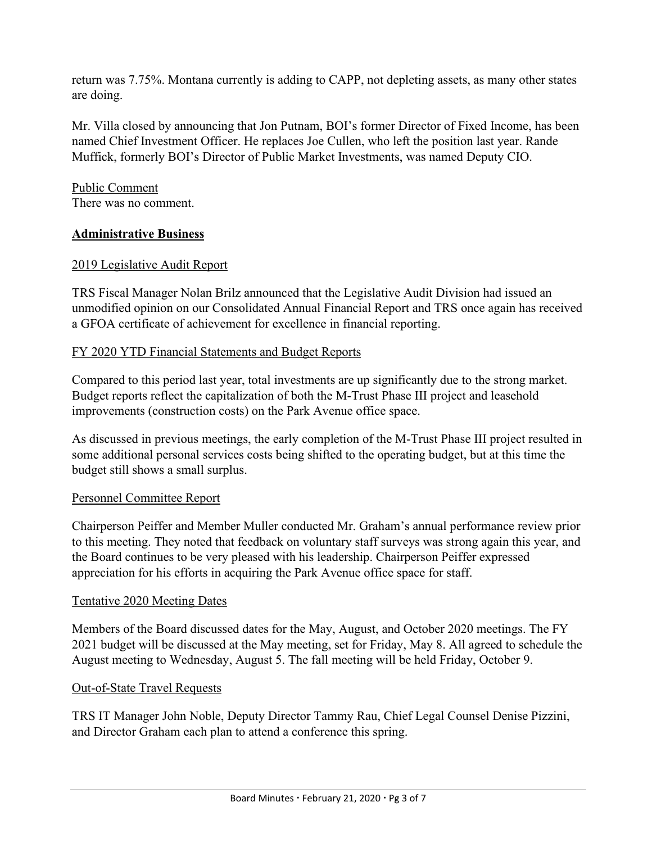return was 7.75%. Montana currently is adding to CAPP, not depleting assets, as many other states are doing.

Mr. Villa closed by announcing that Jon Putnam, BOI's former Director of Fixed Income, has been named Chief Investment Officer. He replaces Joe Cullen, who left the position last year. Rande Muffick, formerly BOI's Director of Public Market Investments, was named Deputy CIO.

Public Comment There was no comment.

### **Administrative Business**

## 2019 Legislative Audit Report

TRS Fiscal Manager Nolan Brilz announced that the Legislative Audit Division had issued an unmodified opinion on our Consolidated Annual Financial Report and TRS once again has received a GFOA certificate of achievement for excellence in financial reporting.

### FY 2020 YTD Financial Statements and Budget Reports

Compared to this period last year, total investments are up significantly due to the strong market. Budget reports reflect the capitalization of both the M-Trust Phase III project and leasehold improvements (construction costs) on the Park Avenue office space.

As discussed in previous meetings, the early completion of the M-Trust Phase III project resulted in some additional personal services costs being shifted to the operating budget, but at this time the budget still shows a small surplus.

# Personnel Committee Report

Chairperson Peiffer and Member Muller conducted Mr. Graham's annual performance review prior to this meeting. They noted that feedback on voluntary staff surveys was strong again this year, and the Board continues to be very pleased with his leadership. Chairperson Peiffer expressed appreciation for his efforts in acquiring the Park Avenue office space for staff.

### Tentative 2020 Meeting Dates

Members of the Board discussed dates for the May, August, and October 2020 meetings. The FY 2021 budget will be discussed at the May meeting, set for Friday, May 8. All agreed to schedule the August meeting to Wednesday, August 5. The fall meeting will be held Friday, October 9.

# Out-of-State Travel Requests

TRS IT Manager John Noble, Deputy Director Tammy Rau, Chief Legal Counsel Denise Pizzini, and Director Graham each plan to attend a conference this spring.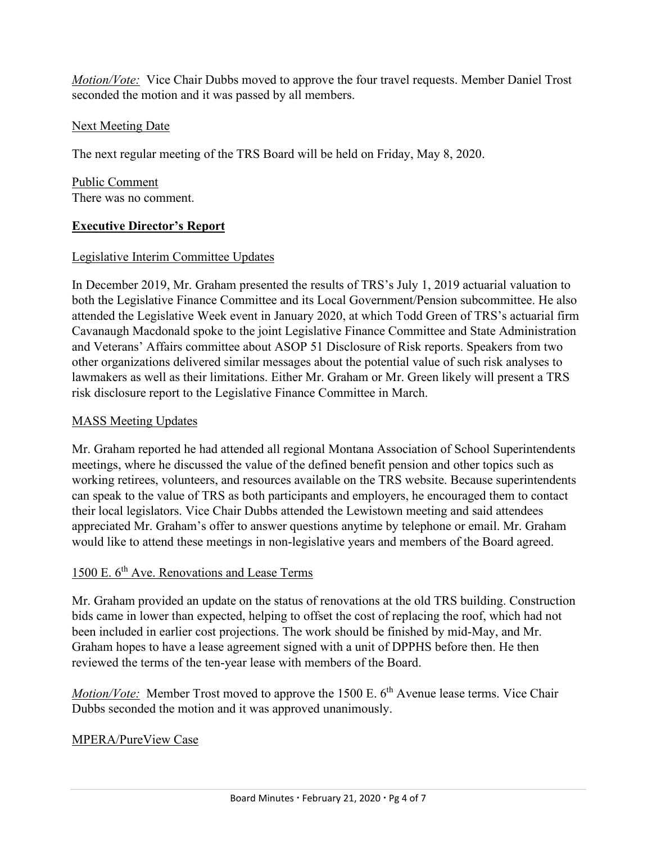*Motion/Vote:* Vice Chair Dubbs moved to approve the four travel requests. Member Daniel Trost seconded the motion and it was passed by all members.

## Next Meeting Date

The next regular meeting of the TRS Board will be held on Friday, May 8, 2020.

Public Comment There was no comment.

## **Executive Director's Report**

## Legislative Interim Committee Updates

In December 2019, Mr. Graham presented the results of TRS's July 1, 2019 actuarial valuation to both the Legislative Finance Committee and its Local Government/Pension subcommittee. He also attended the Legislative Week event in January 2020, at which Todd Green of TRS's actuarial firm Cavanaugh Macdonald spoke to the joint Legislative Finance Committee and State Administration and Veterans' Affairs committee about ASOP 51 Disclosure of Risk reports. Speakers from two other organizations delivered similar messages about the potential value of such risk analyses to lawmakers as well as their limitations. Either Mr. Graham or Mr. Green likely will present a TRS risk disclosure report to the Legislative Finance Committee in March.

### MASS Meeting Updates

Mr. Graham reported he had attended all regional Montana Association of School Superintendents meetings, where he discussed the value of the defined benefit pension and other topics such as working retirees, volunteers, and resources available on the TRS website. Because superintendents can speak to the value of TRS as both participants and employers, he encouraged them to contact their local legislators. Vice Chair Dubbs attended the Lewistown meeting and said attendees appreciated Mr. Graham's offer to answer questions anytime by telephone or email. Mr. Graham would like to attend these meetings in non-legislative years and members of the Board agreed.

### 1500 E. 6<sup>th</sup> Ave. Renovations and Lease Terms

Mr. Graham provided an update on the status of renovations at the old TRS building. Construction bids came in lower than expected, helping to offset the cost of replacing the roof, which had not been included in earlier cost projections. The work should be finished by mid-May, and Mr. Graham hopes to have a lease agreement signed with a unit of DPPHS before then. He then reviewed the terms of the ten-year lease with members of the Board.

*Motion/Vote:* Member Trost moved to approve the 1500 E. 6<sup>th</sup> Avenue lease terms. Vice Chair Dubbs seconded the motion and it was approved unanimously.

# MPERA/PureView Case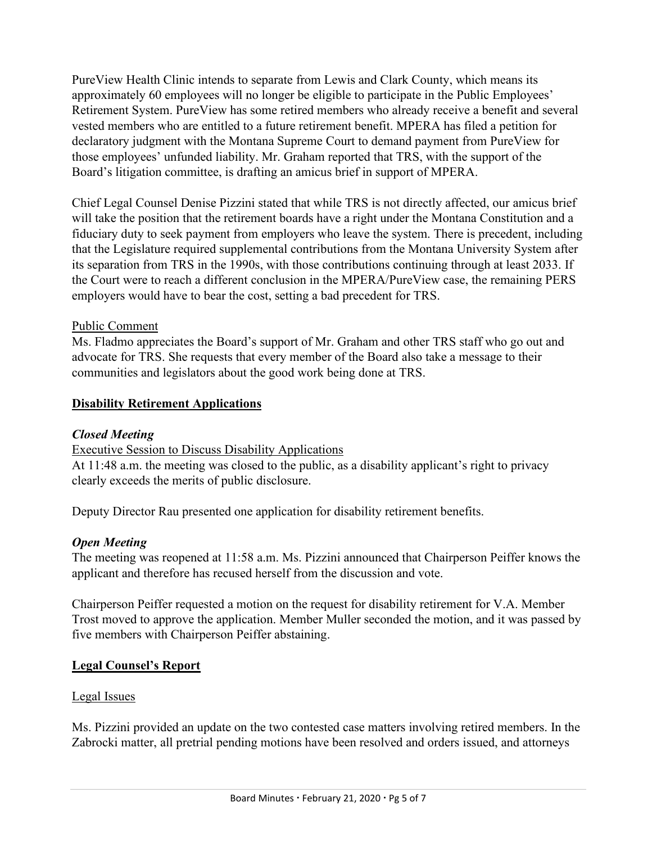PureView Health Clinic intends to separate from Lewis and Clark County, which means its approximately 60 employees will no longer be eligible to participate in the Public Employees' Retirement System. PureView has some retired members who already receive a benefit and several vested members who are entitled to a future retirement benefit. MPERA has filed a petition for declaratory judgment with the Montana Supreme Court to demand payment from PureView for those employees' unfunded liability. Mr. Graham reported that TRS, with the support of the Board's litigation committee, is drafting an amicus brief in support of MPERA.

Chief Legal Counsel Denise Pizzini stated that while TRS is not directly affected, our amicus brief will take the position that the retirement boards have a right under the Montana Constitution and a fiduciary duty to seek payment from employers who leave the system. There is precedent, including that the Legislature required supplemental contributions from the Montana University System after its separation from TRS in the 1990s, with those contributions continuing through at least 2033. If the Court were to reach a different conclusion in the MPERA/PureView case, the remaining PERS employers would have to bear the cost, setting a bad precedent for TRS.

## Public Comment

Ms. Fladmo appreciates the Board's support of Mr. Graham and other TRS staff who go out and advocate for TRS. She requests that every member of the Board also take a message to their communities and legislators about the good work being done at TRS.

## **Disability Retirement Applications**

### *Closed Meeting*

### Executive Session to Discuss Disability Applications

At 11:48 a.m. the meeting was closed to the public, as a disability applicant's right to privacy clearly exceeds the merits of public disclosure.

Deputy Director Rau presented one application for disability retirement benefits.

# *Open Meeting*

The meeting was reopened at 11:58 a.m. Ms. Pizzini announced that Chairperson Peiffer knows the applicant and therefore has recused herself from the discussion and vote.

Chairperson Peiffer requested a motion on the request for disability retirement for V.A. Member Trost moved to approve the application. Member Muller seconded the motion, and it was passed by five members with Chairperson Peiffer abstaining.

# **Legal Counsel's Report**

### Legal Issues

Ms. Pizzini provided an update on the two contested case matters involving retired members. In the Zabrocki matter, all pretrial pending motions have been resolved and orders issued, and attorneys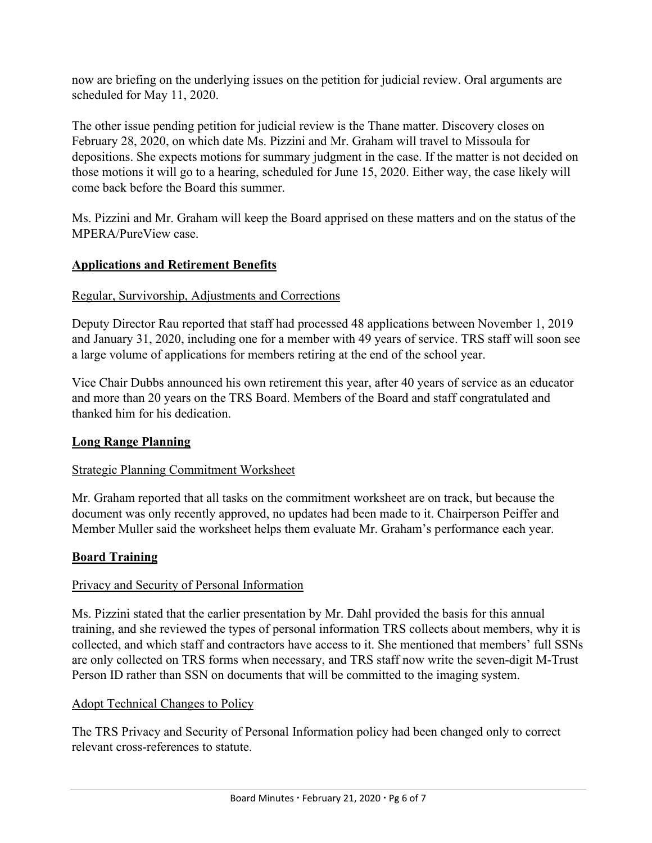now are briefing on the underlying issues on the petition for judicial review. Oral arguments are scheduled for May 11, 2020.

The other issue pending petition for judicial review is the Thane matter. Discovery closes on February 28, 2020, on which date Ms. Pizzini and Mr. Graham will travel to Missoula for depositions. She expects motions for summary judgment in the case. If the matter is not decided on those motions it will go to a hearing, scheduled for June 15, 2020. Either way, the case likely will come back before the Board this summer.

Ms. Pizzini and Mr. Graham will keep the Board apprised on these matters and on the status of the MPERA/PureView case.

## **Applications and Retirement Benefits**

## Regular, Survivorship, Adjustments and Corrections

Deputy Director Rau reported that staff had processed 48 applications between November 1, 2019 and January 31, 2020, including one for a member with 49 years of service. TRS staff will soon see a large volume of applications for members retiring at the end of the school year.

Vice Chair Dubbs announced his own retirement this year, after 40 years of service as an educator and more than 20 years on the TRS Board. Members of the Board and staff congratulated and thanked him for his dedication.

# **Long Range Planning**

### Strategic Planning Commitment Worksheet

Mr. Graham reported that all tasks on the commitment worksheet are on track, but because the document was only recently approved, no updates had been made to it. Chairperson Peiffer and Member Muller said the worksheet helps them evaluate Mr. Graham's performance each year.

# **Board Training**

### Privacy and Security of Personal Information

Ms. Pizzini stated that the earlier presentation by Mr. Dahl provided the basis for this annual training, and she reviewed the types of personal information TRS collects about members, why it is collected, and which staff and contractors have access to it. She mentioned that members' full SSNs are only collected on TRS forms when necessary, and TRS staff now write the seven-digit M-Trust Person ID rather than SSN on documents that will be committed to the imaging system.

### Adopt Technical Changes to Policy

The TRS Privacy and Security of Personal Information policy had been changed only to correct relevant cross-references to statute.